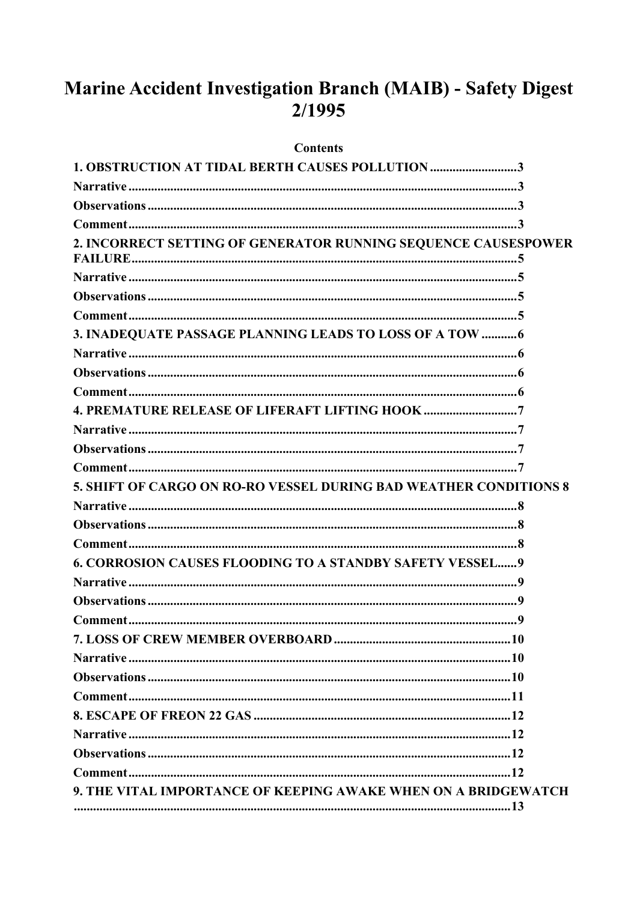# Marine Accident Investigation Branch (MAIB) - Safety Digest  $2/1995$

#### **Contents**

| <b>1. OBSTRUCTION AT TIDAL BERTH CAUSES POLLUTION 3</b>           |  |
|-------------------------------------------------------------------|--|
|                                                                   |  |
|                                                                   |  |
|                                                                   |  |
| 2. INCORRECT SETTING OF GENERATOR RUNNING SEQUENCE CAUSESPOWER    |  |
|                                                                   |  |
|                                                                   |  |
|                                                                   |  |
| 3. INADEQUATE PASSAGE PLANNING LEADS TO LOSS OF A TOW  6          |  |
|                                                                   |  |
|                                                                   |  |
|                                                                   |  |
| <b>4. PREMATURE RELEASE OF LIFERAFT LIFTING HOOK 7</b>            |  |
|                                                                   |  |
|                                                                   |  |
|                                                                   |  |
| 5. SHIFT OF CARGO ON RO-RO VESSEL DURING BAD WEATHER CONDITIONS 8 |  |
|                                                                   |  |
|                                                                   |  |
|                                                                   |  |
| <b>6. CORROSION CAUSES FLOODING TO A STANDBY SAFETY VESSEL 9</b>  |  |
|                                                                   |  |
|                                                                   |  |
|                                                                   |  |
|                                                                   |  |
|                                                                   |  |
|                                                                   |  |
|                                                                   |  |
|                                                                   |  |
|                                                                   |  |
|                                                                   |  |
|                                                                   |  |
| 9. THE VITAL IMPORTANCE OF KEEPING AWAKE WHEN ON A BRIDGEWATCH    |  |
|                                                                   |  |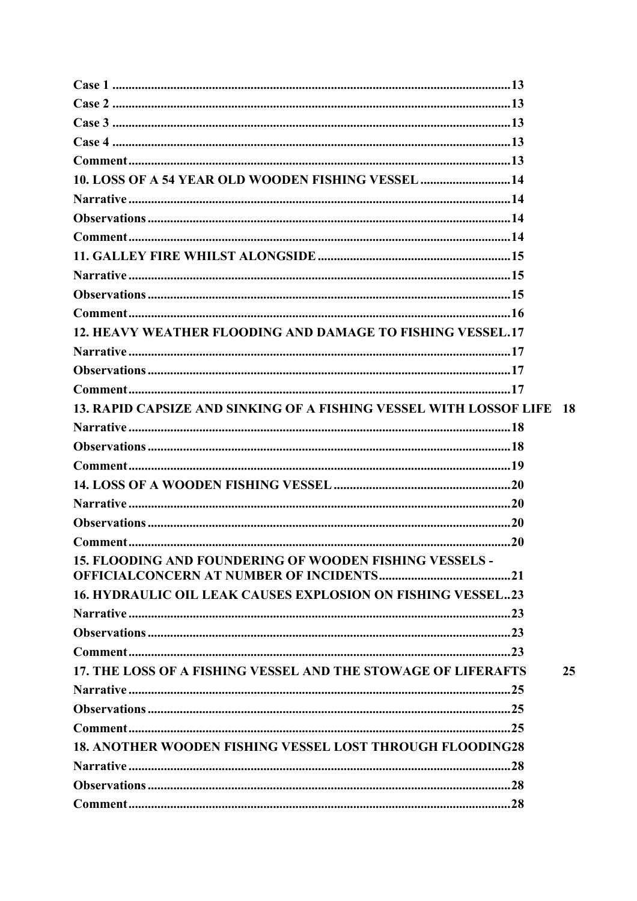| 10. LOSS OF A 54 YEAR OLD WOODEN FISHING VESSEL 14                    |    |
|-----------------------------------------------------------------------|----|
|                                                                       |    |
|                                                                       |    |
|                                                                       |    |
|                                                                       |    |
|                                                                       |    |
|                                                                       |    |
|                                                                       |    |
| 12. HEAVY WEATHER FLOODING AND DAMAGE TO FISHING VESSEL.17            |    |
|                                                                       |    |
|                                                                       |    |
|                                                                       |    |
| 13. RAPID CAPSIZE AND SINKING OF A FISHING VESSEL WITH LOSSOF LIFE 18 |    |
|                                                                       |    |
|                                                                       |    |
|                                                                       |    |
|                                                                       |    |
|                                                                       |    |
|                                                                       |    |
|                                                                       |    |
| 15. FLOODING AND FOUNDERING OF WOODEN FISHING VESSELS -               |    |
|                                                                       |    |
| <b>16. HYDRAULIC OIL LEAK CAUSES EXPLOSION ON FISHING VESSEL23</b>    |    |
|                                                                       |    |
|                                                                       |    |
|                                                                       |    |
| 17. THE LOSS OF A FISHING VESSEL AND THE STOWAGE OF LIFERAFTS         | 25 |
|                                                                       |    |
|                                                                       |    |
|                                                                       |    |
| <b>18. ANOTHER WOODEN FISHING VESSEL LOST THROUGH FLOODING28</b>      |    |
|                                                                       |    |
|                                                                       |    |
|                                                                       |    |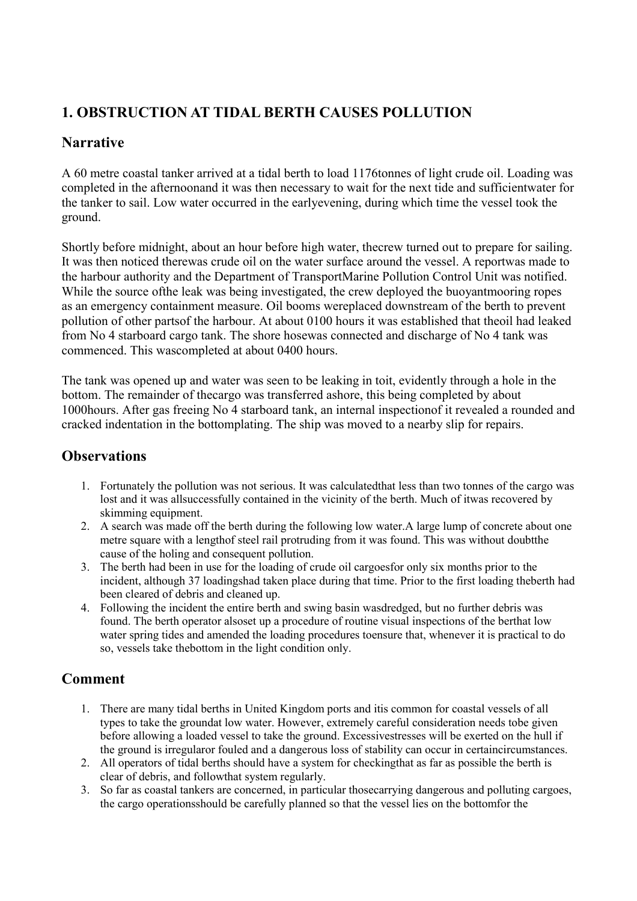# <span id="page-3-0"></span>**1. OBSTRUCTION AT TIDAL BERTH CAUSES POLLUTION**

# **Narrative**

A 60 metre coastal tanker arrived at a tidal berth to load 1176tonnes of light crude oil. Loading was completed in the afternoonand it was then necessary to wait for the next tide and sufficientwater for the tanker to sail. Low water occurred in the earlyevening, during which time the vessel took the ground.

Shortly before midnight, about an hour before high water, thecrew turned out to prepare for sailing. It was then noticed therewas crude oil on the water surface around the vessel. A reportwas made to the harbour authority and the Department of TransportMarine Pollution Control Unit was notified. While the source ofthe leak was being investigated, the crew deployed the buoyantmooring ropes as an emergency containment measure. Oil booms wereplaced downstream of the berth to prevent pollution of other partsof the harbour. At about 0100 hours it was established that theoil had leaked from No 4 starboard cargo tank. The shore hosewas connected and discharge of No 4 tank was commenced. This wascompleted at about 0400 hours.

The tank was opened up and water was seen to be leaking in toit, evidently through a hole in the bottom. The remainder of thecargo was transferred ashore, this being completed by about 1000hours. After gas freeing No 4 starboard tank, an internal inspectionof it revealed a rounded and cracked indentation in the bottomplating. The ship was moved to a nearby slip for repairs.

# **Observations**

- 1. Fortunately the pollution was not serious. It was calculatedthat less than two tonnes of the cargo was lost and it was allsuccessfully contained in the vicinity of the berth. Much of itwas recovered by skimming equipment.
- 2. A search was made off the berth during the following low water.A large lump of concrete about one metre square with a lengthof steel rail protruding from it was found. This was without doubtthe cause of the holing and consequent pollution.
- 3. The berth had been in use for the loading of crude oil cargoesfor only six months prior to the incident, although 37 loadingshad taken place during that time. Prior to the first loading theberth had been cleared of debris and cleaned up.
- 4. Following the incident the entire berth and swing basin wasdredged, but no further debris was found. The berth operator alsoset up a procedure of routine visual inspections of the berthat low water spring tides and amended the loading procedures toensure that, whenever it is practical to do so, vessels take thebottom in the light condition only.

- 1. There are many tidal berths in United Kingdom ports and itis common for coastal vessels of all types to take the groundat low water. However, extremely careful consideration needs tobe given before allowing a loaded vessel to take the ground. Excessivestresses will be exerted on the hull if the ground is irregularor fouled and a dangerous loss of stability can occur in certaincircumstances.
- 2. All operators of tidal berths should have a system for checkingthat as far as possible the berth is clear of debris, and followthat system regularly.
- 3. So far as coastal tankers are concerned, in particular thosecarrying dangerous and polluting cargoes, the cargo operationsshould be carefully planned so that the vessel lies on the bottomfor the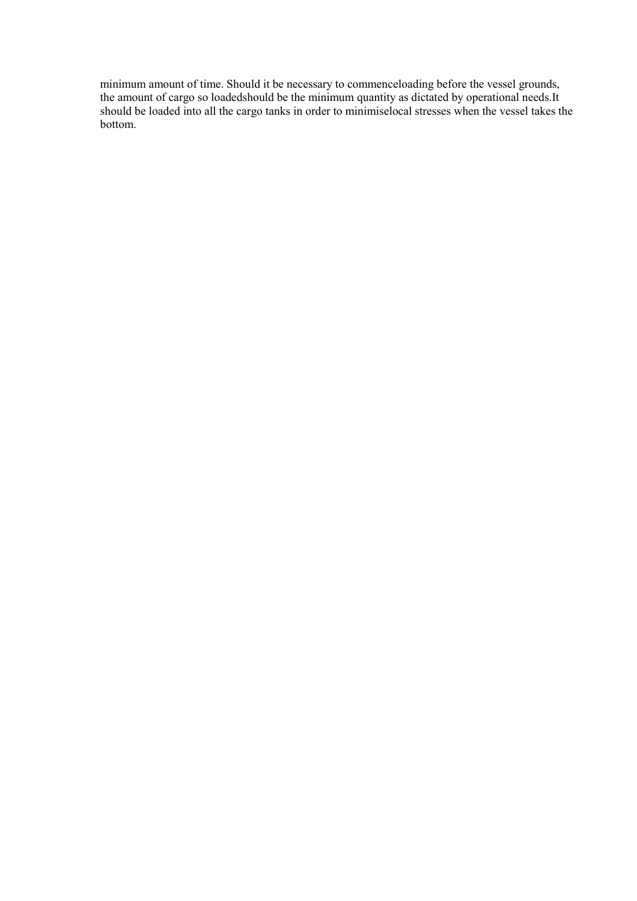minimum amount of time. Should it be necessary to commenceloading before the vessel grounds, the amount of cargo so loadedshould be the minimum quantity as dictated by operational needs.It should be loaded into all the cargo tanks in order to minimiselocal stresses when the vessel takes the bottom.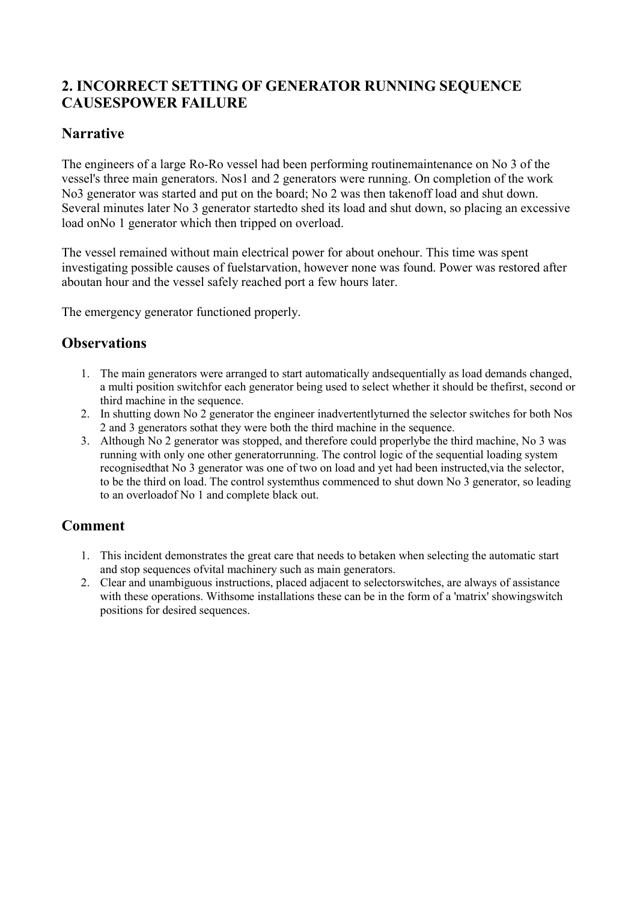# <span id="page-5-0"></span>**2. INCORRECT SETTING OF GENERATOR RUNNING SEQUENCE CAUSESPOWER FAILURE**

### **Narrative**

The engineers of a large Ro-Ro vessel had been performing routinemaintenance on No 3 of the vessel's three main generators. Nos1 and 2 generators were running. On completion of the work No3 generator was started and put on the board; No 2 was then takenoff load and shut down. Several minutes later No 3 generator startedto shed its load and shut down, so placing an excessive load onNo 1 generator which then tripped on overload.

The vessel remained without main electrical power for about onehour. This time was spent investigating possible causes of fuelstarvation, however none was found. Power was restored after aboutan hour and the vessel safely reached port a few hours later.

The emergency generator functioned properly.

#### **Observations**

- 1. The main generators were arranged to start automatically andsequentially as load demands changed, a multi position switchfor each generator being used to select whether it should be thefirst, second or third machine in the sequence.
- 2. In shutting down No 2 generator the engineer inadvertentlyturned the selector switches for both Nos 2 and 3 generators sothat they were both the third machine in the sequence.
- 3. Although No 2 generator was stopped, and therefore could properlybe the third machine, No 3 was running with only one other generatorrunning. The control logic of the sequential loading system recognisedthat No 3 generator was one of two on load and yet had been instructed,via the selector, to be the third on load. The control systemthus commenced to shut down No 3 generator, so leading to an overloadof No 1 and complete black out.

- 1. This incident demonstrates the great care that needs to betaken when selecting the automatic start and stop sequences ofvital machinery such as main generators.
- 2. Clear and unambiguous instructions, placed adjacent to selectorswitches, are always of assistance with these operations. Withsome installations these can be in the form of a 'matrix' showingswitch positions for desired sequences.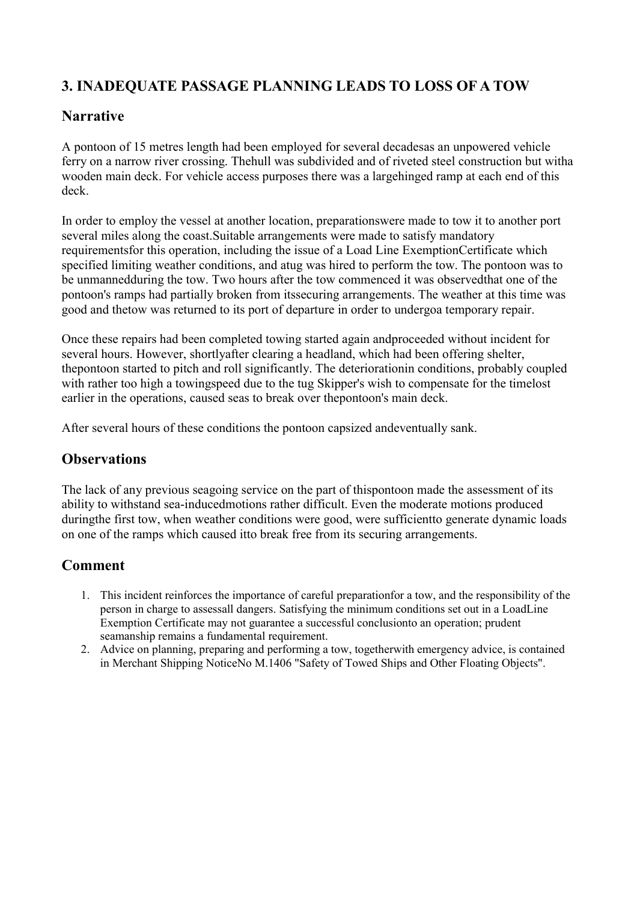# <span id="page-6-0"></span>**3. INADEQUATE PASSAGE PLANNING LEADS TO LOSS OF A TOW**

## **Narrative**

A pontoon of 15 metres length had been employed for several decadesas an unpowered vehicle ferry on a narrow river crossing. Thehull was subdivided and of riveted steel construction but witha wooden main deck. For vehicle access purposes there was a largehinged ramp at each end of this deck.

In order to employ the vessel at another location, preparationswere made to tow it to another port several miles along the coast.Suitable arrangements were made to satisfy mandatory requirementsfor this operation, including the issue of a Load Line ExemptionCertificate which specified limiting weather conditions, and atug was hired to perform the tow. The pontoon was to be unmannedduring the tow. Two hours after the tow commenced it was observedthat one of the pontoon's ramps had partially broken from itssecuring arrangements. The weather at this time was good and thetow was returned to its port of departure in order to undergoa temporary repair.

Once these repairs had been completed towing started again andproceeded without incident for several hours. However, shortlyafter clearing a headland, which had been offering shelter, thepontoon started to pitch and roll significantly. The deteriorationin conditions, probably coupled with rather too high a towingspeed due to the tug Skipper's wish to compensate for the timelost earlier in the operations, caused seas to break over thepontoon's main deck.

After several hours of these conditions the pontoon capsized andeventually sank.

### **Observations**

The lack of any previous seagoing service on the part of thispontoon made the assessment of its ability to withstand sea-inducedmotions rather difficult. Even the moderate motions produced duringthe first tow, when weather conditions were good, were sufficientto generate dynamic loads on one of the ramps which caused itto break free from its securing arrangements.

- 1. This incident reinforces the importance of careful preparationfor a tow, and the responsibility of the person in charge to assessall dangers. Satisfying the minimum conditions set out in a LoadLine Exemption Certificate may not guarantee a successful conclusionto an operation; prudent seamanship remains a fundamental requirement.
- 2. Advice on planning, preparing and performing a tow, togetherwith emergency advice, is contained in Merchant Shipping NoticeNo M.1406 "Safety of Towed Ships and Other Floating Objects".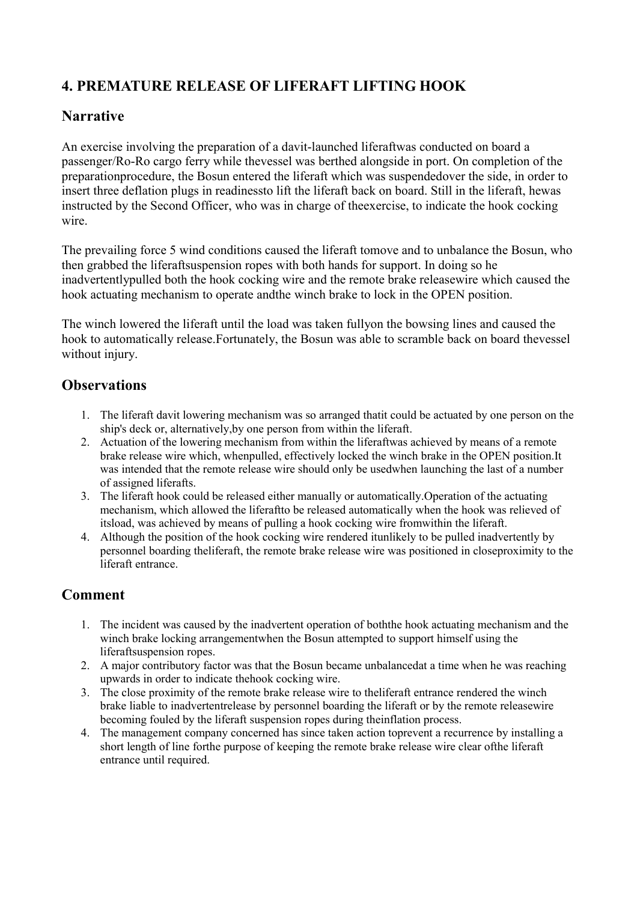# <span id="page-7-0"></span>**4. PREMATURE RELEASE OF LIFERAFT LIFTING HOOK**

### **Narrative**

An exercise involving the preparation of a davit-launched liferaftwas conducted on board a passenger/Ro-Ro cargo ferry while thevessel was berthed alongside in port. On completion of the preparationprocedure, the Bosun entered the liferaft which was suspendedover the side, in order to insert three deflation plugs in readinessto lift the liferaft back on board. Still in the liferaft, hewas instructed by the Second Officer, who was in charge of theexercise, to indicate the hook cocking wire.

The prevailing force 5 wind conditions caused the liferaft tomove and to unbalance the Bosun, who then grabbed the liferaftsuspension ropes with both hands for support. In doing so he inadvertentlypulled both the hook cocking wire and the remote brake releasewire which caused the hook actuating mechanism to operate andthe winch brake to lock in the OPEN position.

The winch lowered the liferaft until the load was taken fullyon the bowsing lines and caused the hook to automatically release.Fortunately, the Bosun was able to scramble back on board thevessel without injury.

#### **Observations**

- 1. The liferaft davit lowering mechanism was so arranged thatit could be actuated by one person on the ship's deck or, alternatively,by one person from within the liferaft.
- 2. Actuation of the lowering mechanism from within the liferaftwas achieved by means of a remote brake release wire which, whenpulled, effectively locked the winch brake in the OPEN position.It was intended that the remote release wire should only be usedwhen launching the last of a number of assigned liferafts.
- 3. The liferaft hook could be released either manually or automatically.Operation of the actuating mechanism, which allowed the liferaftto be released automatically when the hook was relieved of itsload, was achieved by means of pulling a hook cocking wire fromwithin the liferaft.
- 4. Although the position of the hook cocking wire rendered itunlikely to be pulled inadvertently by personnel boarding theliferaft, the remote brake release wire was positioned in closeproximity to the liferaft entrance.

- 1. The incident was caused by the inadvertent operation of boththe hook actuating mechanism and the winch brake locking arrangementwhen the Bosun attempted to support himself using the liferaftsuspension ropes.
- 2. A major contributory factor was that the Bosun became unbalancedat a time when he was reaching upwards in order to indicate thehook cocking wire.
- 3. The close proximity of the remote brake release wire to theliferaft entrance rendered the winch brake liable to inadvertentrelease by personnel boarding the liferaft or by the remote releasewire becoming fouled by the liferaft suspension ropes during theinflation process.
- 4. The management company concerned has since taken action toprevent a recurrence by installing a short length of line forthe purpose of keeping the remote brake release wire clear ofthe liferaft entrance until required.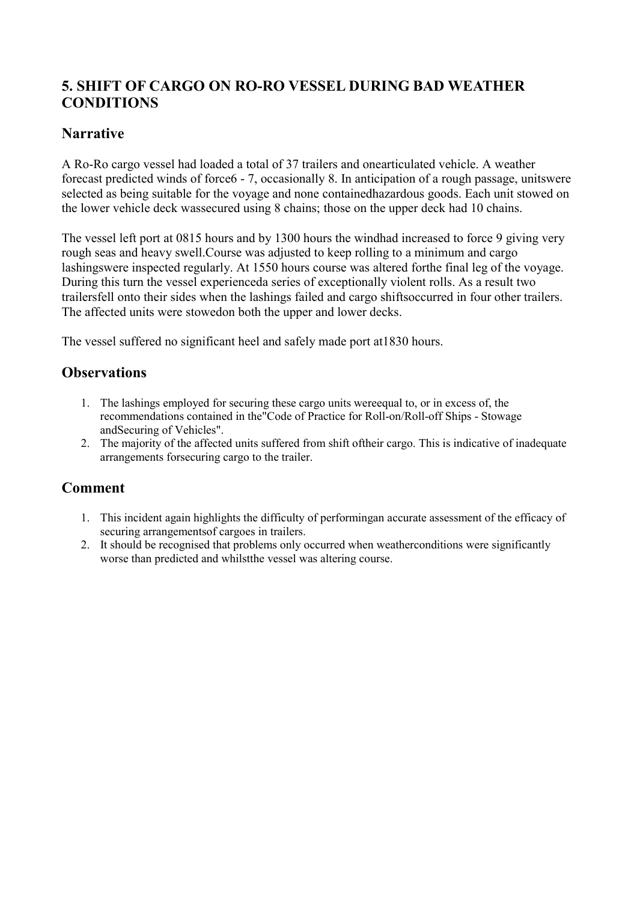# <span id="page-8-0"></span>**5. SHIFT OF CARGO ON RO-RO VESSEL DURING BAD WEATHER CONDITIONS**

### **Narrative**

A Ro-Ro cargo vessel had loaded a total of 37 trailers and onearticulated vehicle. A weather forecast predicted winds of force6 - 7, occasionally 8. In anticipation of a rough passage, unitswere selected as being suitable for the voyage and none containedhazardous goods. Each unit stowed on the lower vehicle deck wassecured using 8 chains; those on the upper deck had 10 chains.

The vessel left port at 0815 hours and by 1300 hours the windhad increased to force 9 giving very rough seas and heavy swell.Course was adjusted to keep rolling to a minimum and cargo lashingswere inspected regularly. At 1550 hours course was altered forthe final leg of the voyage. During this turn the vessel experienceda series of exceptionally violent rolls. As a result two trailersfell onto their sides when the lashings failed and cargo shiftsoccurred in four other trailers. The affected units were stowedon both the upper and lower decks.

The vessel suffered no significant heel and safely made port at1830 hours.

### **Observations**

- 1. The lashings employed for securing these cargo units wereequal to, or in excess of, the recommendations contained in the"Code of Practice for Roll-on/Roll-off Ships - Stowage andSecuring of Vehicles".
- 2. The majority of the affected units suffered from shift oftheir cargo. This is indicative of inadequate arrangements forsecuring cargo to the trailer.

- 1. This incident again highlights the difficulty of performingan accurate assessment of the efficacy of securing arrangementsof cargoes in trailers.
- 2. It should be recognised that problems only occurred when weatherconditions were significantly worse than predicted and whilstthe vessel was altering course.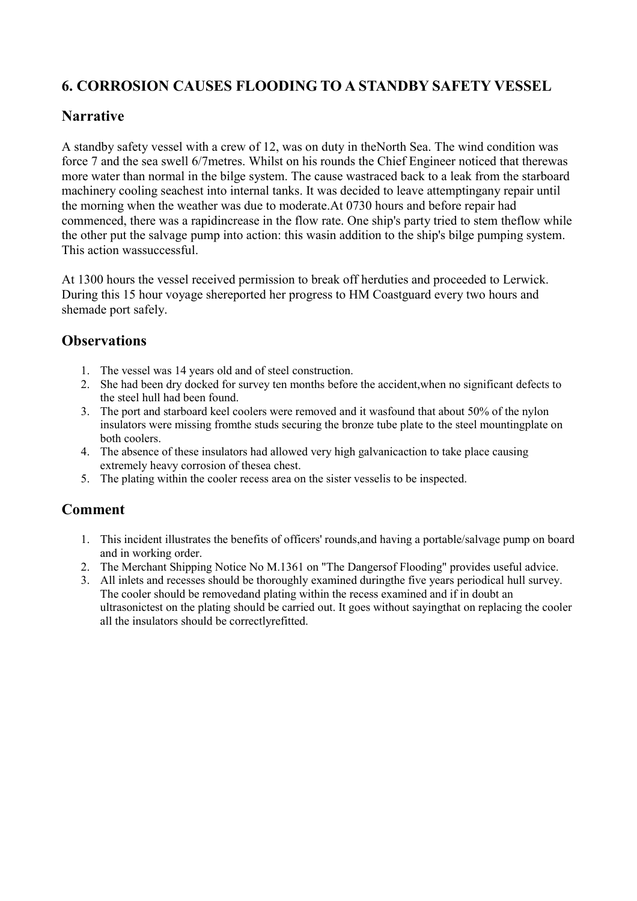# <span id="page-9-0"></span>**6. CORROSION CAUSES FLOODING TO A STANDBY SAFETY VESSEL**

#### **Narrative**

A standby safety vessel with a crew of 12, was on duty in theNorth Sea. The wind condition was force 7 and the sea swell 6/7metres. Whilst on his rounds the Chief Engineer noticed that therewas more water than normal in the bilge system. The cause wastraced back to a leak from the starboard machinery cooling seachest into internal tanks. It was decided to leave attemptingany repair until the morning when the weather was due to moderate.At 0730 hours and before repair had commenced, there was a rapidincrease in the flow rate. One ship's party tried to stem theflow while the other put the salvage pump into action: this wasin addition to the ship's bilge pumping system. This action wassuccessful.

At 1300 hours the vessel received permission to break off herduties and proceeded to Lerwick. During this 15 hour voyage shereported her progress to HM Coastguard every two hours and shemade port safely.

#### **Observations**

- 1. The vessel was 14 years old and of steel construction.
- 2. She had been dry docked for survey ten months before the accident,when no significant defects to the steel hull had been found.
- 3. The port and starboard keel coolers were removed and it wasfound that about 50% of the nylon insulators were missing fromthe studs securing the bronze tube plate to the steel mountingplate on both coolers.
- 4. The absence of these insulators had allowed very high galvanicaction to take place causing extremely heavy corrosion of thesea chest.
- 5. The plating within the cooler recess area on the sister vesselis to be inspected.

- 1. This incident illustrates the benefits of officers' rounds,and having a portable/salvage pump on board and in working order.
- 2. The Merchant Shipping Notice No M.1361 on "The Dangersof Flooding" provides useful advice.
- 3. All inlets and recesses should be thoroughly examined duringthe five years periodical hull survey. The cooler should be removedand plating within the recess examined and if in doubt an ultrasonictest on the plating should be carried out. It goes without sayingthat on replacing the cooler all the insulators should be correctlyrefitted.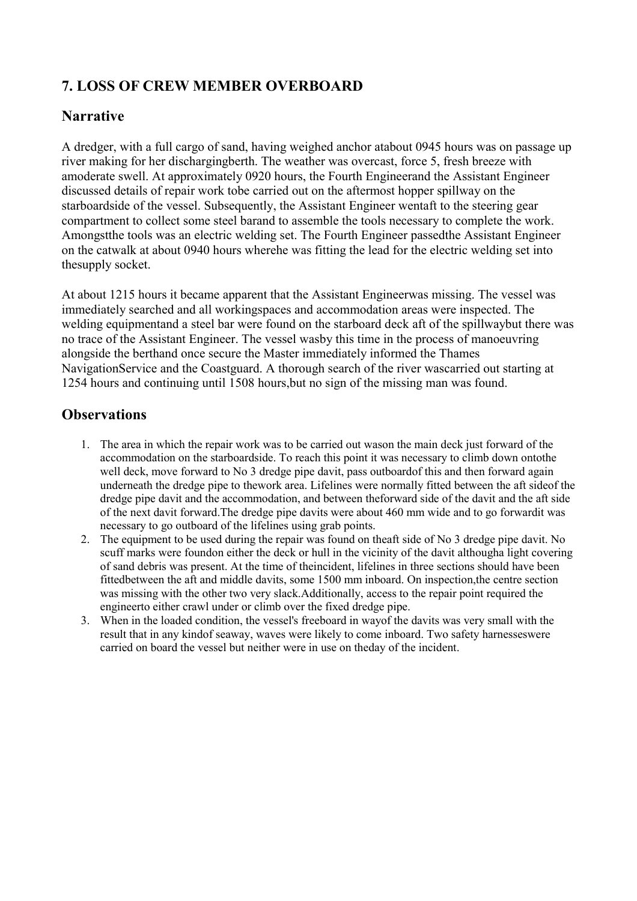# <span id="page-10-0"></span>**7. LOSS OF CREW MEMBER OVERBOARD**

### **Narrative**

A dredger, with a full cargo of sand, having weighed anchor atabout 0945 hours was on passage up river making for her dischargingberth. The weather was overcast, force 5, fresh breeze with amoderate swell. At approximately 0920 hours, the Fourth Engineerand the Assistant Engineer discussed details of repair work tobe carried out on the aftermost hopper spillway on the starboardside of the vessel. Subsequently, the Assistant Engineer wentaft to the steering gear compartment to collect some steel barand to assemble the tools necessary to complete the work. Amongstthe tools was an electric welding set. The Fourth Engineer passedthe Assistant Engineer on the catwalk at about 0940 hours wherehe was fitting the lead for the electric welding set into thesupply socket.

At about 1215 hours it became apparent that the Assistant Engineerwas missing. The vessel was immediately searched and all workingspaces and accommodation areas were inspected. The welding equipmentand a steel bar were found on the starboard deck aft of the spillwaybut there was no trace of the Assistant Engineer. The vessel wasby this time in the process of manoeuvring alongside the berthand once secure the Master immediately informed the Thames NavigationService and the Coastguard. A thorough search of the river wascarried out starting at 1254 hours and continuing until 1508 hours,but no sign of the missing man was found.

### **Observations**

- 1. The area in which the repair work was to be carried out wason the main deck just forward of the accommodation on the starboardside. To reach this point it was necessary to climb down ontothe well deck, move forward to No 3 dredge pipe davit, pass outboardof this and then forward again underneath the dredge pipe to thework area. Lifelines were normally fitted between the aft sideof the dredge pipe davit and the accommodation, and between theforward side of the davit and the aft side of the next davit forward.The dredge pipe davits were about 460 mm wide and to go forwardit was necessary to go outboard of the lifelines using grab points.
- 2. The equipment to be used during the repair was found on theaft side of No 3 dredge pipe davit. No scuff marks were foundon either the deck or hull in the vicinity of the davit althougha light covering of sand debris was present. At the time of theincident, lifelines in three sections should have been fittedbetween the aft and middle davits, some 1500 mm inboard. On inspection,the centre section was missing with the other two very slack.Additionally, access to the repair point required the engineerto either crawl under or climb over the fixed dredge pipe.
- 3. When in the loaded condition, the vessel's freeboard in wayof the davits was very small with the result that in any kindof seaway, waves were likely to come inboard. Two safety harnesseswere carried on board the vessel but neither were in use on theday of the incident.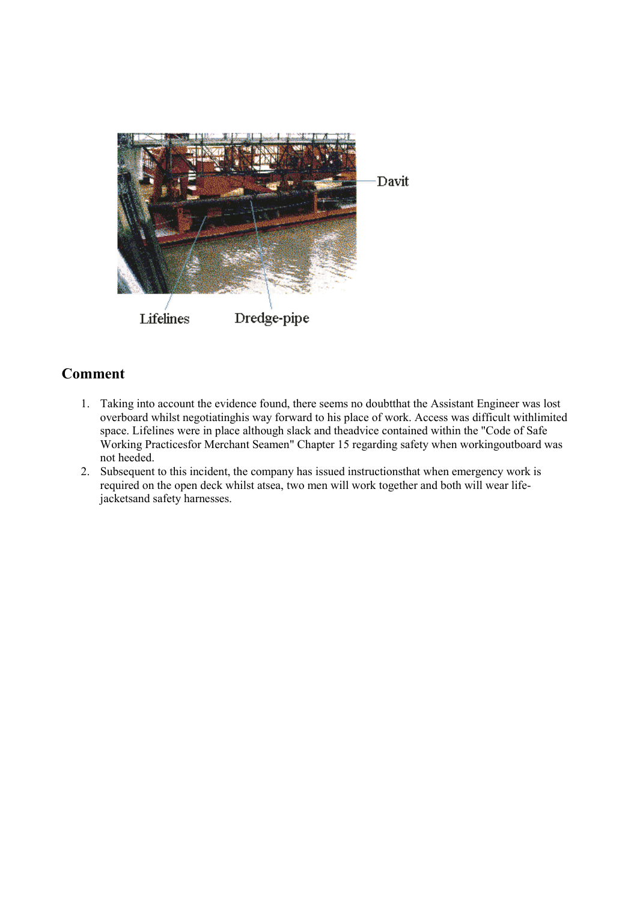<span id="page-11-0"></span>

- 1. Taking into account the evidence found, there seems no doubtthat the Assistant Engineer was lost overboard whilst negotiatinghis way forward to his place of work. Access was difficult withlimited space. Lifelines were in place although slack and theadvice contained within the "Code of Safe Working Practicesfor Merchant Seamen" Chapter 15 regarding safety when workingoutboard was not heeded.
- 2. Subsequent to this incident, the company has issued instructionsthat when emergency work is required on the open deck whilst atsea, two men will work together and both will wear lifejacketsand safety harnesses.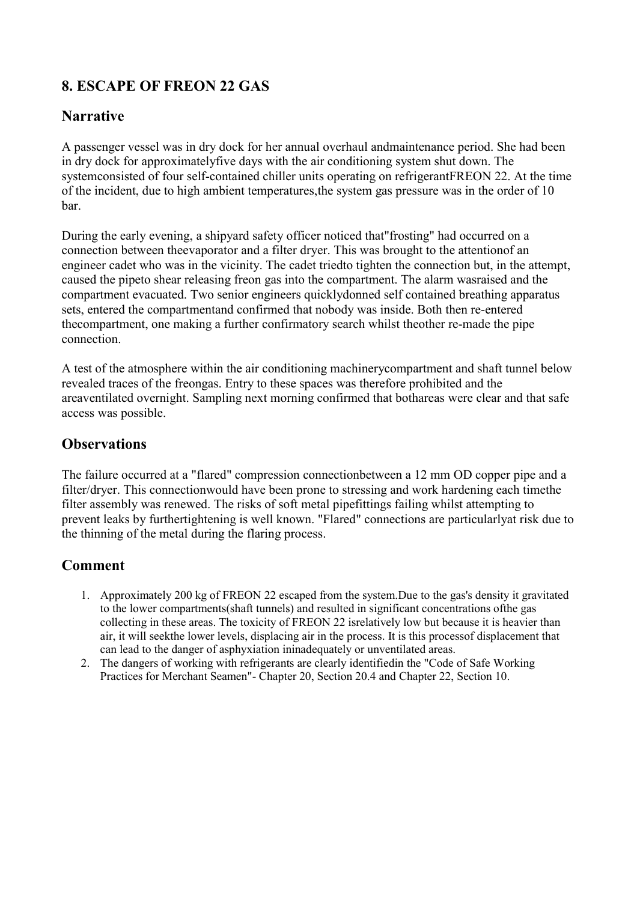# <span id="page-12-0"></span>**8. ESCAPE OF FREON 22 GAS**

### **Narrative**

A passenger vessel was in dry dock for her annual overhaul andmaintenance period. She had been in dry dock for approximatelyfive days with the air conditioning system shut down. The systemconsisted of four self-contained chiller units operating on refrigerantFREON 22. At the time of the incident, due to high ambient temperatures,the system gas pressure was in the order of 10 bar.

During the early evening, a shipyard safety officer noticed that"frosting" had occurred on a connection between theevaporator and a filter dryer. This was brought to the attentionof an engineer cadet who was in the vicinity. The cadet triedto tighten the connection but, in the attempt, caused the pipeto shear releasing freon gas into the compartment. The alarm wasraised and the compartment evacuated. Two senior engineers quicklydonned self contained breathing apparatus sets, entered the compartmentand confirmed that nobody was inside. Both then re-entered thecompartment, one making a further confirmatory search whilst theother re-made the pipe connection.

A test of the atmosphere within the air conditioning machinerycompartment and shaft tunnel below revealed traces of the freongas. Entry to these spaces was therefore prohibited and the areaventilated overnight. Sampling next morning confirmed that bothareas were clear and that safe access was possible.

## **Observations**

The failure occurred at a "flared" compression connectionbetween a 12 mm OD copper pipe and a filter/dryer. This connectionwould have been prone to stressing and work hardening each timethe filter assembly was renewed. The risks of soft metal pipefittings failing whilst attempting to prevent leaks by furthertightening is well known. "Flared" connections are particularlyat risk due to the thinning of the metal during the flaring process.

- 1. Approximately 200 kg of FREON 22 escaped from the system.Due to the gas's density it gravitated to the lower compartments(shaft tunnels) and resulted in significant concentrations ofthe gas collecting in these areas. The toxicity of FREON 22 isrelatively low but because it is heavier than air, it will seekthe lower levels, displacing air in the process. It is this processof displacement that can lead to the danger of asphyxiation ininadequately or unventilated areas.
- 2. The dangers of working with refrigerants are clearly identifiedin the "Code of Safe Working Practices for Merchant Seamen"- Chapter 20, Section 20.4 and Chapter 22, Section 10.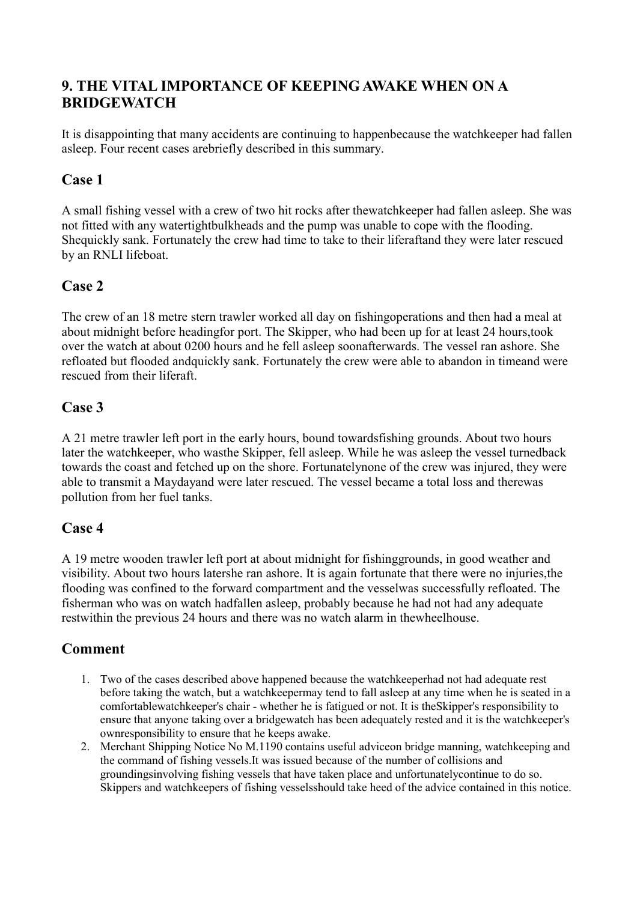# <span id="page-13-0"></span>**9. THE VITAL IMPORTANCE OF KEEPING AWAKE WHEN ON A BRIDGEWATCH**

It is disappointing that many accidents are continuing to happenbecause the watchkeeper had fallen asleep. Four recent cases arebriefly described in this summary.

#### **Case 1**

A small fishing vessel with a crew of two hit rocks after thewatchkeeper had fallen asleep. She was not fitted with any watertightbulkheads and the pump was unable to cope with the flooding. Shequickly sank. Fortunately the crew had time to take to their liferaftand they were later rescued by an RNLI lifeboat.

# **Case 2**

The crew of an 18 metre stern trawler worked all day on fishingoperations and then had a meal at about midnight before headingfor port. The Skipper, who had been up for at least 24 hours,took over the watch at about 0200 hours and he fell asleep soonafterwards. The vessel ran ashore. She refloated but flooded andquickly sank. Fortunately the crew were able to abandon in timeand were rescued from their liferaft.

### **Case 3**

A 21 metre trawler left port in the early hours, bound towardsfishing grounds. About two hours later the watchkeeper, who wasthe Skipper, fell asleep. While he was asleep the vessel turnedback towards the coast and fetched up on the shore. Fortunatelynone of the crew was injured, they were able to transmit a Maydayand were later rescued. The vessel became a total loss and therewas pollution from her fuel tanks.

#### **Case 4**

A 19 metre wooden trawler left port at about midnight for fishinggrounds, in good weather and visibility. About two hours latershe ran ashore. It is again fortunate that there were no injuries,the flooding was confined to the forward compartment and the vesselwas successfully refloated. The fisherman who was on watch hadfallen asleep, probably because he had not had any adequate restwithin the previous 24 hours and there was no watch alarm in thewheelhouse.

- 1. Two of the cases described above happened because the watchkeeperhad not had adequate rest before taking the watch, but a watchkeepermay tend to fall asleep at any time when he is seated in a comfortablewatchkeeper's chair - whether he is fatigued or not. It is theSkipper's responsibility to ensure that anyone taking over a bridgewatch has been adequately rested and it is the watchkeeper's ownresponsibility to ensure that he keeps awake.
- 2. Merchant Shipping Notice No M.1190 contains useful adviceon bridge manning, watchkeeping and the command of fishing vessels.It was issued because of the number of collisions and groundingsinvolving fishing vessels that have taken place and unfortunatelycontinue to do so. Skippers and watchkeepers of fishing vesselsshould take heed of the advice contained in this notice.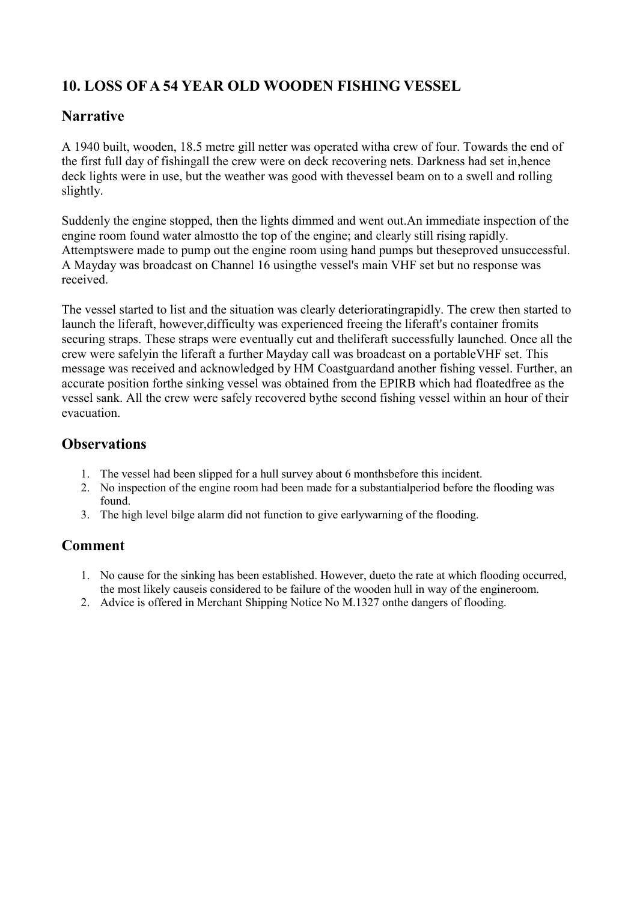# <span id="page-14-0"></span>**10. LOSS OF A 54 YEAR OLD WOODEN FISHING VESSEL**

### **Narrative**

A 1940 built, wooden, 18.5 metre gill netter was operated witha crew of four. Towards the end of the first full day of fishingall the crew were on deck recovering nets. Darkness had set in,hence deck lights were in use, but the weather was good with thevessel beam on to a swell and rolling slightly.

Suddenly the engine stopped, then the lights dimmed and went out.An immediate inspection of the engine room found water almostto the top of the engine; and clearly still rising rapidly. Attemptswere made to pump out the engine room using hand pumps but theseproved unsuccessful. A Mayday was broadcast on Channel 16 usingthe vessel's main VHF set but no response was received.

The vessel started to list and the situation was clearly deterioratingrapidly. The crew then started to launch the liferaft, however,difficulty was experienced freeing the liferaft's container fromits securing straps. These straps were eventually cut and theliferaft successfully launched. Once all the crew were safelyin the liferaft a further Mayday call was broadcast on a portableVHF set. This message was received and acknowledged by HM Coastguardand another fishing vessel. Further, an accurate position forthe sinking vessel was obtained from the EPIRB which had floatedfree as the vessel sank. All the crew were safely recovered bythe second fishing vessel within an hour of their evacuation.

## **Observations**

- 1. The vessel had been slipped for a hull survey about 6 monthsbefore this incident.
- 2. No inspection of the engine room had been made for a substantialperiod before the flooding was found.
- 3. The high level bilge alarm did not function to give earlywarning of the flooding.

- 1. No cause for the sinking has been established. However, dueto the rate at which flooding occurred, the most likely causeis considered to be failure of the wooden hull in way of the engineroom.
- 2. Advice is offered in Merchant Shipping Notice No M.1327 onthe dangers of flooding.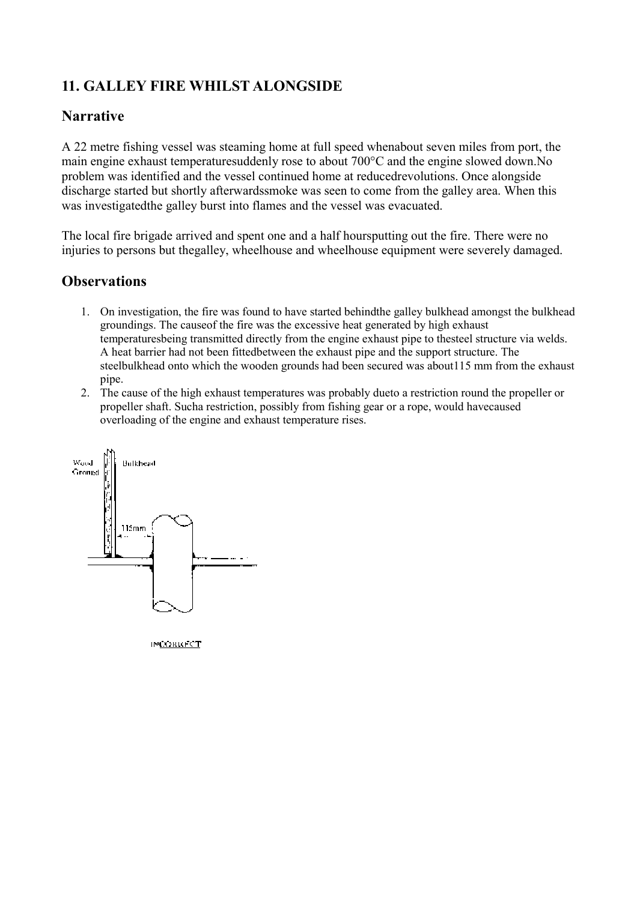# <span id="page-15-0"></span>**11. GALLEY FIRE WHILST ALONGSIDE**

#### **Narrative**

A 22 metre fishing vessel was steaming home at full speed whenabout seven miles from port, the main engine exhaust temperaturesuddenly rose to about 700°C and the engine slowed down.No problem was identified and the vessel continued home at reducedrevolutions. Once alongside discharge started but shortly afterwardssmoke was seen to come from the galley area. When this was investigatedthe galley burst into flames and the vessel was evacuated.

The local fire brigade arrived and spent one and a half hoursputting out the fire. There were no injuries to persons but thegalley, wheelhouse and wheelhouse equipment were severely damaged.

### **Observations**

- 1. On investigation, the fire was found to have started behindthe galley bulkhead amongst the bulkhead groundings. The causeof the fire was the excessive heat generated by high exhaust temperaturesbeing transmitted directly from the engine exhaust pipe to thesteel structure via welds. A heat barrier had not been fittedbetween the exhaust pipe and the support structure. The steelbulkhead onto which the wooden grounds had been secured was about115 mm from the exhaust pipe.
- 2. The cause of the high exhaust temperatures was probably dueto a restriction round the propeller or propeller shaft. Sucha restriction, possibly from fishing gear or a rope, would havecaused overloading of the engine and exhaust temperature rises.



**INCORRECT**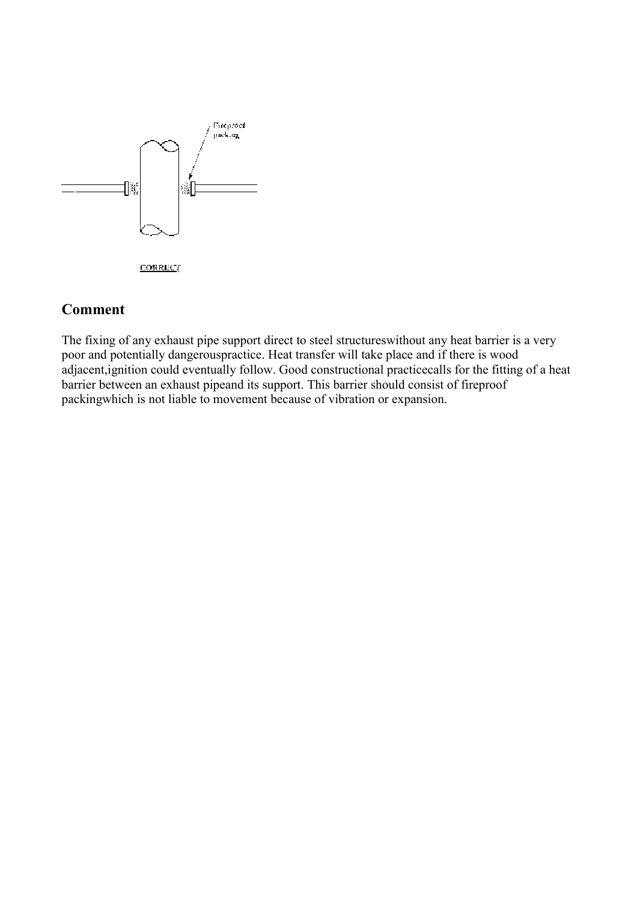<span id="page-16-0"></span>

#### **Comment**

The fixing of any exhaust pipe support direct to steel structureswithout any heat barrier is a very poor and potentially dangerouspractice. Heat transfer will take place and if there is wood adjacent,ignition could eventually follow. Good constructional practicecalls for the fitting of a heat barrier between an exhaust pipeand its support. This barrier should consist of fireproof packingwhich is not liable to movement because of vibration or expansion.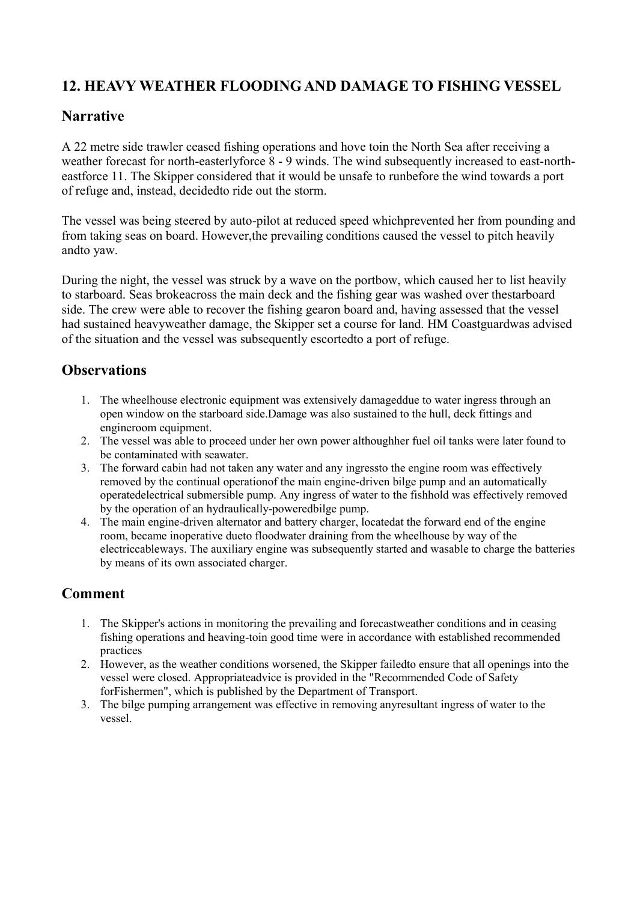# <span id="page-17-0"></span>**12. HEAVY WEATHER FLOODING AND DAMAGE TO FISHING VESSEL**

### **Narrative**

A 22 metre side trawler ceased fishing operations and hove toin the North Sea after receiving a weather forecast for north-easterlyforce 8 - 9 winds. The wind subsequently increased to east-northeastforce 11. The Skipper considered that it would be unsafe to runbefore the wind towards a port of refuge and, instead, decidedto ride out the storm.

The vessel was being steered by auto-pilot at reduced speed whichprevented her from pounding and from taking seas on board. However,the prevailing conditions caused the vessel to pitch heavily andto yaw.

During the night, the vessel was struck by a wave on the portbow, which caused her to list heavily to starboard. Seas brokeacross the main deck and the fishing gear was washed over thestarboard side. The crew were able to recover the fishing gearon board and, having assessed that the vessel had sustained heavyweather damage, the Skipper set a course for land. HM Coastguardwas advised of the situation and the vessel was subsequently escortedto a port of refuge.

# **Observations**

- 1. The wheelhouse electronic equipment was extensively damageddue to water ingress through an open window on the starboard side.Damage was also sustained to the hull, deck fittings and engineroom equipment.
- 2. The vessel was able to proceed under her own power althoughher fuel oil tanks were later found to be contaminated with seawater.
- 3. The forward cabin had not taken any water and any ingressto the engine room was effectively removed by the continual operationof the main engine-driven bilge pump and an automatically operatedelectrical submersible pump. Any ingress of water to the fishhold was effectively removed by the operation of an hydraulically-poweredbilge pump.
- 4. The main engine-driven alternator and battery charger, locatedat the forward end of the engine room, became inoperative dueto floodwater draining from the wheelhouse by way of the electriccableways. The auxiliary engine was subsequently started and wasable to charge the batteries by means of its own associated charger.

- 1. The Skipper's actions in monitoring the prevailing and forecastweather conditions and in ceasing fishing operations and heaving-toin good time were in accordance with established recommended practices
- 2. However, as the weather conditions worsened, the Skipper failedto ensure that all openings into the vessel were closed. Appropriateadvice is provided in the "Recommended Code of Safety forFishermen", which is published by the Department of Transport.
- 3. The bilge pumping arrangement was effective in removing anyresultant ingress of water to the vessel.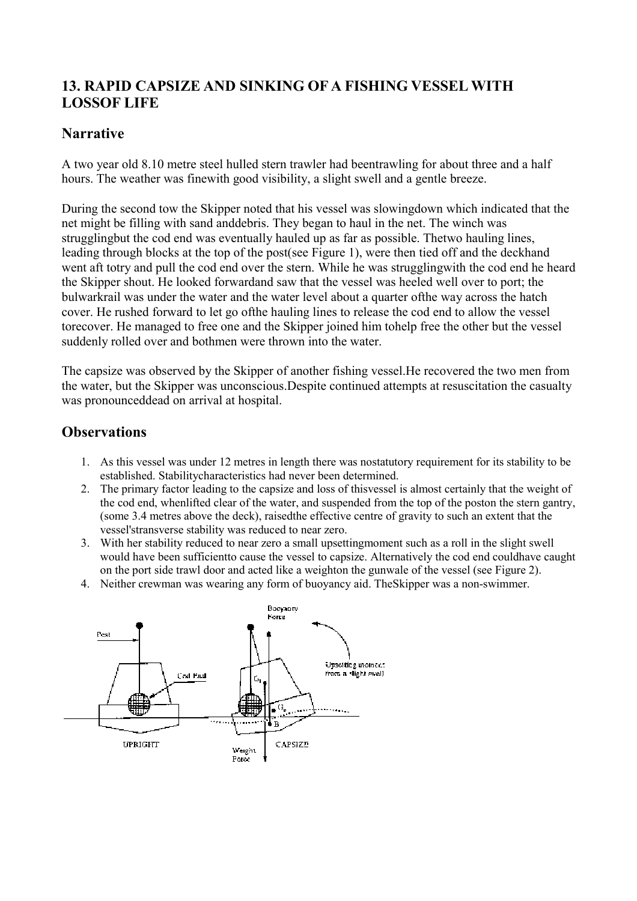# <span id="page-18-0"></span>**13. RAPID CAPSIZE AND SINKING OF A FISHING VESSEL WITH LOSSOF LIFE**

#### **Narrative**

A two year old 8.10 metre steel hulled stern trawler had beentrawling for about three and a half hours. The weather was finewith good visibility, a slight swell and a gentle breeze.

During the second tow the Skipper noted that his vessel was slowingdown which indicated that the net might be filling with sand anddebris. They began to haul in the net. The winch was strugglingbut the cod end was eventually hauled up as far as possible. Thetwo hauling lines, leading through blocks at the top of the post(see Figure 1), were then tied off and the deckhand went aft totry and pull the cod end over the stern. While he was strugglingwith the cod end he heard the Skipper shout. He looked forwardand saw that the vessel was heeled well over to port; the bulwarkrail was under the water and the water level about a quarter ofthe way across the hatch cover. He rushed forward to let go ofthe hauling lines to release the cod end to allow the vessel torecover. He managed to free one and the Skipper joined him tohelp free the other but the vessel suddenly rolled over and bothmen were thrown into the water.

The capsize was observed by the Skipper of another fishing vessel.He recovered the two men from the water, but the Skipper was unconscious.Despite continued attempts at resuscitation the casualty was pronounceddead on arrival at hospital.

#### **Observations**

- 1. As this vessel was under 12 metres in length there was nostatutory requirement for its stability to be established. Stabilitycharacteristics had never been determined.
- 2. The primary factor leading to the capsize and loss of thisvessel is almost certainly that the weight of the cod end, whenlifted clear of the water, and suspended from the top of the poston the stern gantry, (some 3.4 metres above the deck), raisedthe effective centre of gravity to such an extent that the vessel'stransverse stability was reduced to near zero.
- 3. With her stability reduced to near zero a small upsettingmoment such as a roll in the slight swell would have been sufficientto cause the vessel to capsize. Alternatively the cod end couldhave caught on the port side trawl door and acted like a weighton the gunwale of the vessel (see Figure 2).
- 4. Neither crewman was wearing any form of buoyancy aid. TheSkipper was a non-swimmer.

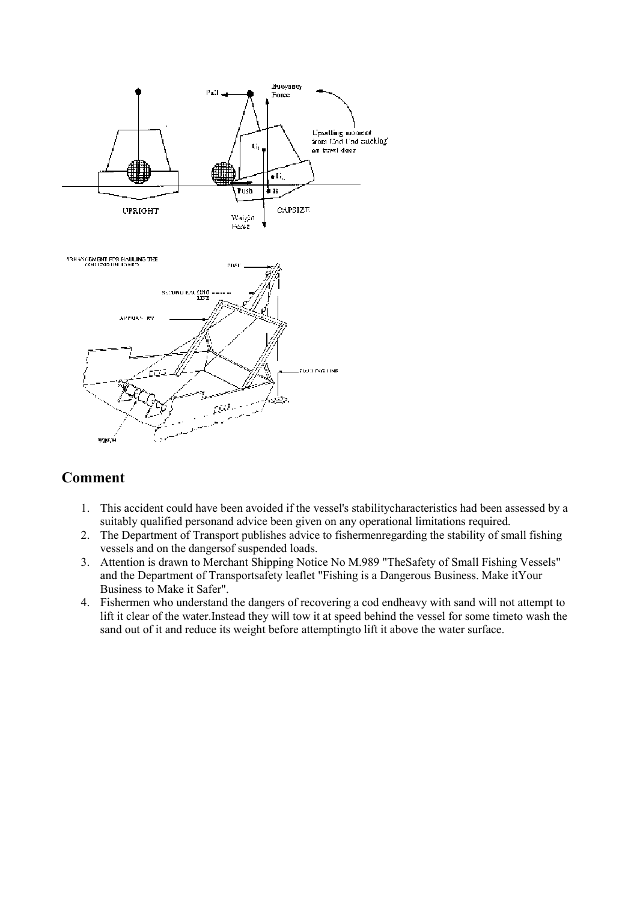<span id="page-19-0"></span>

- 1. This accident could have been avoided if the vessel's stabilitycharacteristics had been assessed by a suitably qualified personand advice been given on any operational limitations required.
- 2. The Department of Transport publishes advice to fishermenregarding the stability of small fishing vessels and on the dangersof suspended loads.
- 3. Attention is drawn to Merchant Shipping Notice No M.989 "TheSafety of Small Fishing Vessels" and the Department of Transportsafety leaflet "Fishing is a Dangerous Business. Make itYour Business to Make it Safer".
- 4. Fishermen who understand the dangers of recovering a cod endheavy with sand will not attempt to lift it clear of the water.Instead they will tow it at speed behind the vessel for some timeto wash the sand out of it and reduce its weight before attemptingto lift it above the water surface.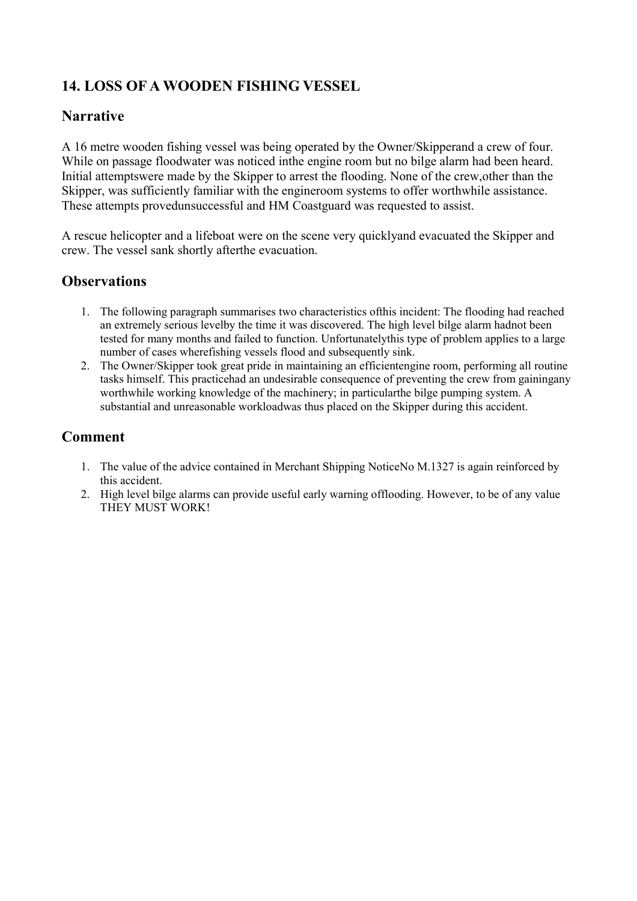# <span id="page-20-0"></span>**14. LOSS OF A WOODEN FISHING VESSEL**

#### **Narrative**

A 16 metre wooden fishing vessel was being operated by the Owner/Skipperand a crew of four. While on passage floodwater was noticed inthe engine room but no bilge alarm had been heard. Initial attemptswere made by the Skipper to arrest the flooding. None of the crew,other than the Skipper, was sufficiently familiar with the engineroom systems to offer worthwhile assistance. These attempts provedunsuccessful and HM Coastguard was requested to assist.

A rescue helicopter and a lifeboat were on the scene very quicklyand evacuated the Skipper and crew. The vessel sank shortly afterthe evacuation.

#### **Observations**

- 1. The following paragraph summarises two characteristics ofthis incident: The flooding had reached an extremely serious levelby the time it was discovered. The high level bilge alarm hadnot been tested for many months and failed to function. Unfortunatelythis type of problem applies to a large number of cases wherefishing vessels flood and subsequently sink.
- 2. The Owner/Skipper took great pride in maintaining an efficientengine room, performing all routine tasks himself. This practicehad an undesirable consequence of preventing the crew from gainingany worthwhile working knowledge of the machinery; in particularthe bilge pumping system. A substantial and unreasonable workloadwas thus placed on the Skipper during this accident.

- 1. The value of the advice contained in Merchant Shipping NoticeNo M.1327 is again reinforced by this accident.
- 2. High level bilge alarms can provide useful early warning offlooding. However, to be of any value THEY MUST WORK!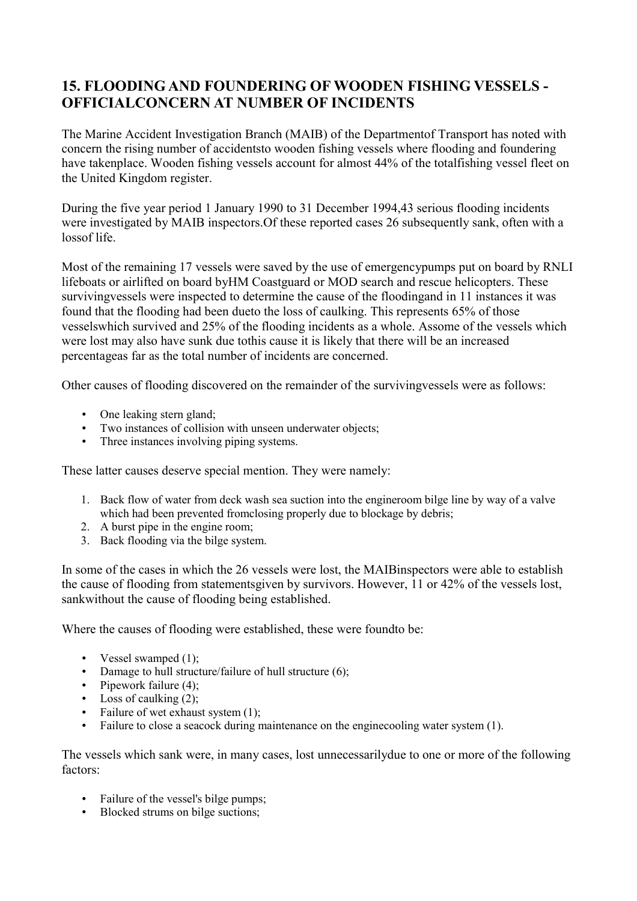# <span id="page-21-0"></span>**15. FLOODING AND FOUNDERING OF WOODEN FISHING VESSELS - OFFICIALCONCERN AT NUMBER OF INCIDENTS**

The Marine Accident Investigation Branch (MAIB) of the Departmentof Transport has noted with concern the rising number of accidentsto wooden fishing vessels where flooding and foundering have takenplace. Wooden fishing vessels account for almost 44% of the totalfishing vessel fleet on the United Kingdom register.

During the five year period 1 January 1990 to 31 December 1994,43 serious flooding incidents were investigated by MAIB inspectors.Of these reported cases 26 subsequently sank, often with a lossof life.

Most of the remaining 17 vessels were saved by the use of emergencypumps put on board by RNLI lifeboats or airlifted on board byHM Coastguard or MOD search and rescue helicopters. These survivingvessels were inspected to determine the cause of the floodingand in 11 instances it was found that the flooding had been dueto the loss of caulking. This represents 65% of those vesselswhich survived and 25% of the flooding incidents as a whole. Assome of the vessels which were lost may also have sunk due tothis cause it is likely that there will be an increased percentageas far as the total number of incidents are concerned.

Other causes of flooding discovered on the remainder of the survivingvessels were as follows:

- One leaking stern gland;
- Two instances of collision with unseen underwater objects:
- Three instances involving piping systems.

These latter causes deserve special mention. They were namely:

- 1. Back flow of water from deck wash sea suction into the engineroom bilge line by way of a valve which had been prevented fromclosing properly due to blockage by debris;
- 2. A burst pipe in the engine room;
- 3. Back flooding via the bilge system.

In some of the cases in which the 26 vessels were lost, the MAIBinspectors were able to establish the cause of flooding from statementsgiven by survivors. However, 11 or 42% of the vessels lost, sankwithout the cause of flooding being established.

Where the causes of flooding were established, these were foundto be:

- Vessel swamped  $(1)$ ;
- Damage to hull structure/failure of hull structure (6);
- Pipework failure  $(4)$ ;
- Loss of caulking  $(2)$ ;
- Failure of wet exhaust system  $(1)$ ;
- Failure to close a seacock during maintenance on the engine cooling water system (1).

The vessels which sank were, in many cases, lost unnecessarilydue to one or more of the following factors:

- Failure of the vessel's bilge pumps:
- Blocked strums on bilge suctions;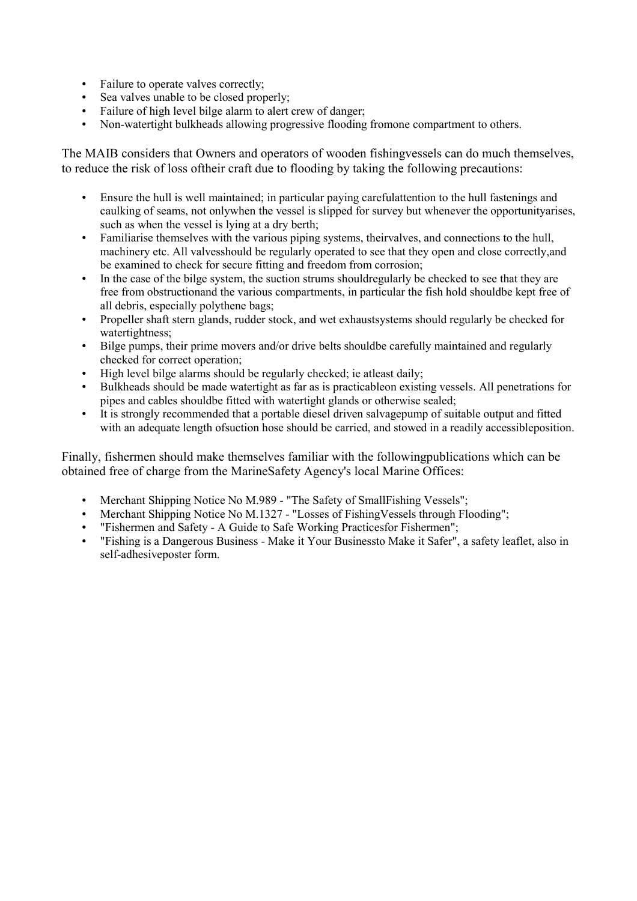- Failure to operate valves correctly;
- Sea valves unable to be closed properly;
- Failure of high level bilge alarm to alert crew of danger;
- Non-watertight bulkheads allowing progressive flooding fromone compartment to others.

The MAIB considers that Owners and operators of wooden fishingvessels can do much themselves, to reduce the risk of loss oftheir craft due to flooding by taking the following precautions:

- Ensure the hull is well maintained; in particular paying carefulattention to the hull fastenings and caulking of seams, not onlywhen the vessel is slipped for survey but whenever the opportunityarises, such as when the vessel is lying at a dry berth;
- Familiarise themselves with the various piping systems, theirvalves, and connections to the hull, machinery etc. All valvesshould be regularly operated to see that they open and close correctly,and be examined to check for secure fitting and freedom from corrosion;
- In the case of the bilge system, the suction strums shouldregularly be checked to see that they are free from obstructionand the various compartments, in particular the fish hold shouldbe kept free of all debris, especially polythene bags;
- Propeller shaft stern glands, rudder stock, and wet exhaustsystems should regularly be checked for watertightness;
- Bilge pumps, their prime movers and/or drive belts shouldbe carefully maintained and regularly checked for correct operation;
- High level bilge alarms should be regularly checked; ie at least daily;
- Bulkheads should be made watertight as far as is practicableon existing vessels. All penetrations for pipes and cables shouldbe fitted with watertight glands or otherwise sealed;
- It is strongly recommended that a portable diesel driven salvagepump of suitable output and fitted with an adequate length ofsuction hose should be carried, and stowed in a readily accessibleposition.

Finally, fishermen should make themselves familiar with the followingpublications which can be obtained free of charge from the MarineSafety Agency's local Marine Offices:

- Merchant Shipping Notice No M.989 "The Safety of SmallFishing Vessels";
- Merchant Shipping Notice No M.1327 "Losses of FishingVessels through Flooding";
- "Fishermen and Safety A Guide to Safe Working Practicesfor Fishermen";
- "Fishing is a Dangerous Business Make it Your Businessto Make it Safer", a safety leaflet, also in self-adhesiveposter form.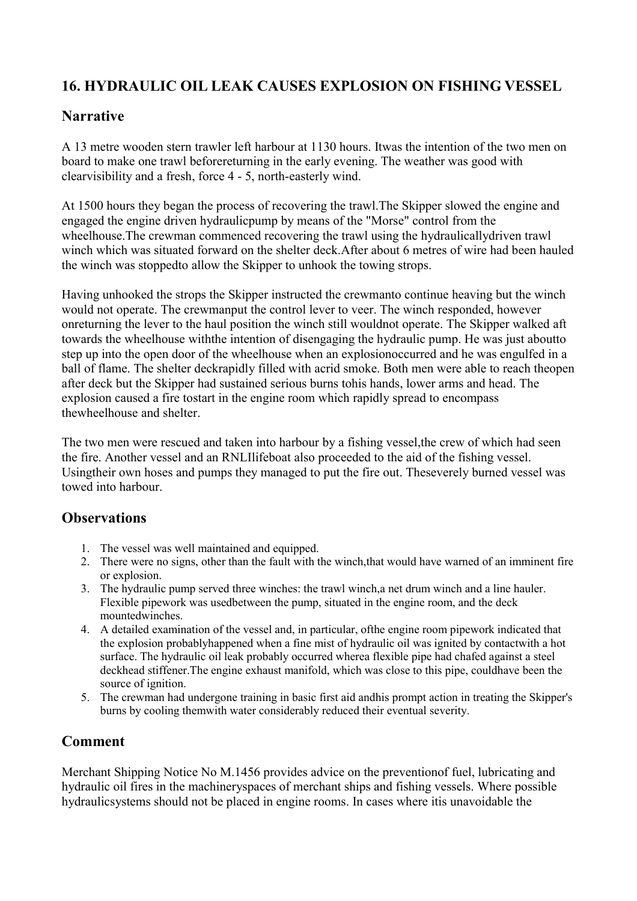# <span id="page-23-0"></span>**16. HYDRAULIC OIL LEAK CAUSES EXPLOSION ON FISHING VESSEL**

#### **Narrative**

A 13 metre wooden stern trawler left harbour at 1130 hours. Itwas the intention of the two men on board to make one trawl beforereturning in the early evening. The weather was good with clearvisibility and a fresh, force 4 - 5, north-easterly wind.

At 1500 hours they began the process of recovering the trawl.The Skipper slowed the engine and engaged the engine driven hydraulicpump by means of the "Morse" control from the wheelhouse.The crewman commenced recovering the trawl using the hydraulicallydriven trawl winch which was situated forward on the shelter deck.After about 6 metres of wire had been hauled the winch was stoppedto allow the Skipper to unhook the towing strops.

Having unhooked the strops the Skipper instructed the crewmanto continue heaving but the winch would not operate. The crewmanput the control lever to veer. The winch responded, however onreturning the lever to the haul position the winch still wouldnot operate. The Skipper walked aft towards the wheelhouse withthe intention of disengaging the hydraulic pump. He was just aboutto step up into the open door of the wheelhouse when an explosionoccurred and he was engulfed in a ball of flame. The shelter deckrapidly filled with acrid smoke. Both men were able to reach theopen after deck but the Skipper had sustained serious burns tohis hands, lower arms and head. The explosion caused a fire tostart in the engine room which rapidly spread to encompass thewheelhouse and shelter.

The two men were rescued and taken into harbour by a fishing vessel,the crew of which had seen the fire. Another vessel and an RNLIlifeboat also proceeded to the aid of the fishing vessel. Usingtheir own hoses and pumps they managed to put the fire out. Theseverely burned vessel was towed into harbour.

#### **Observations**

- 1. The vessel was well maintained and equipped.
- 2. There were no signs, other than the fault with the winch,that would have warned of an imminent fire or explosion.
- 3. The hydraulic pump served three winches: the trawl winch,a net drum winch and a line hauler. Flexible pipework was usedbetween the pump, situated in the engine room, and the deck mountedwinches.
- 4. A detailed examination of the vessel and, in particular, ofthe engine room pipework indicated that the explosion probablyhappened when a fine mist of hydraulic oil was ignited by contactwith a hot surface. The hydraulic oil leak probably occurred wherea flexible pipe had chafed against a steel deckhead stiffener.The engine exhaust manifold, which was close to this pipe, couldhave been the source of ignition.
- 5. The crewman had undergone training in basic first aid andhis prompt action in treating the Skipper's burns by cooling themwith water considerably reduced their eventual severity.

# **Comment**

Merchant Shipping Notice No M.1456 provides advice on the preventionof fuel, lubricating and hydraulic oil fires in the machineryspaces of merchant ships and fishing vessels. Where possible hydraulicsystems should not be placed in engine rooms. In cases where itis unavoidable the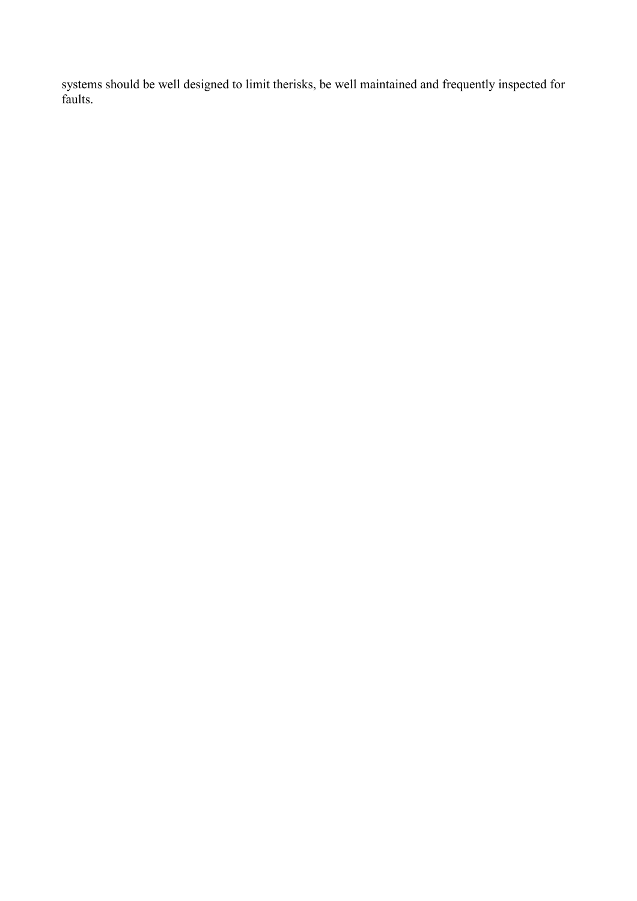systems should be well designed to limit therisks, be well maintained and frequently inspected for faults.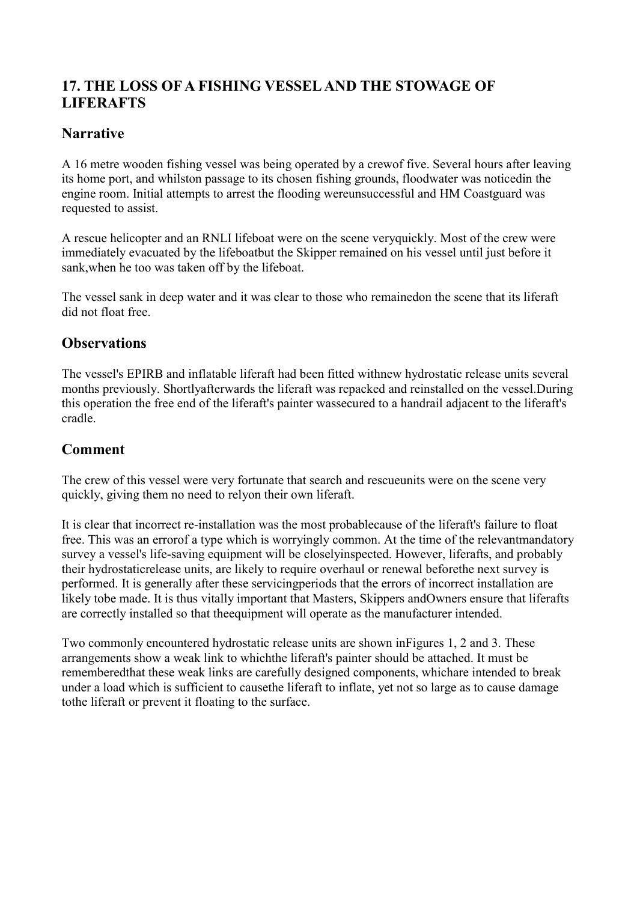# <span id="page-25-0"></span>**17. THE LOSS OF A FISHING VESSEL AND THE STOWAGE OF LIFERAFTS**

### **Narrative**

A 16 metre wooden fishing vessel was being operated by a crewof five. Several hours after leaving its home port, and whilston passage to its chosen fishing grounds, floodwater was noticedin the engine room. Initial attempts to arrest the flooding wereunsuccessful and HM Coastguard was requested to assist.

A rescue helicopter and an RNLI lifeboat were on the scene veryquickly. Most of the crew were immediately evacuated by the lifeboatbut the Skipper remained on his vessel until just before it sank,when he too was taken off by the lifeboat.

The vessel sank in deep water and it was clear to those who remainedon the scene that its liferaft did not float free.

### **Observations**

The vessel's EPIRB and inflatable liferaft had been fitted withnew hydrostatic release units several months previously. Shortlyafterwards the liferaft was repacked and reinstalled on the vessel.During this operation the free end of the liferaft's painter wassecured to a handrail adjacent to the liferaft's cradle.

### **Comment**

The crew of this vessel were very fortunate that search and rescueunits were on the scene very quickly, giving them no need to relyon their own liferaft.

It is clear that incorrect re-installation was the most probablecause of the liferaft's failure to float free. This was an errorof a type which is worryingly common. At the time of the relevantmandatory survey a vessel's life-saving equipment will be closelyinspected. However, liferafts, and probably their hydrostaticrelease units, are likely to require overhaul or renewal beforethe next survey is performed. It is generally after these servicingperiods that the errors of incorrect installation are likely tobe made. It is thus vitally important that Masters, Skippers andOwners ensure that liferafts are correctly installed so that theequipment will operate as the manufacturer intended.

Two commonly encountered hydrostatic release units are shown inFigures 1, 2 and 3. These arrangements show a weak link to whichthe liferaft's painter should be attached. It must be rememberedthat these weak links are carefully designed components, whichare intended to break under a load which is sufficient to causethe liferaft to inflate, yet not so large as to cause damage tothe liferaft or prevent it floating to the surface.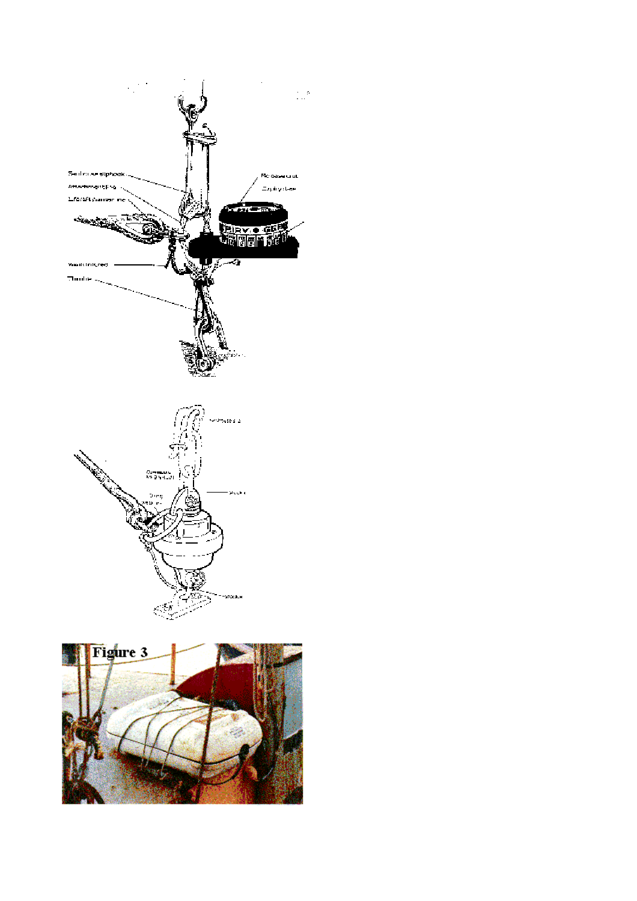

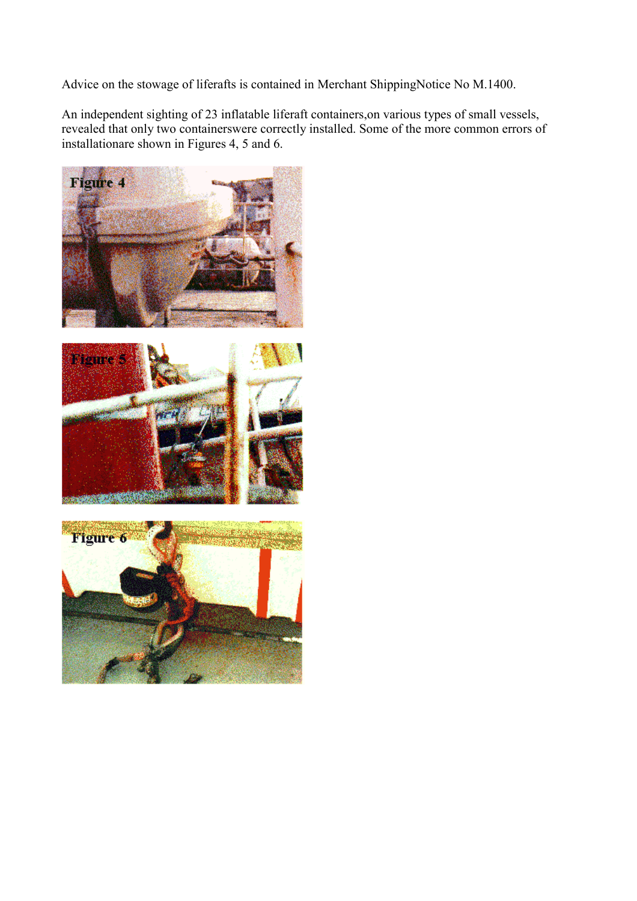Advice on the stowage of liferafts is contained in Merchant ShippingNotice No M.1400.

An independent sighting of 23 inflatable liferaft containers,on various types of small vessels, revealed that only two containerswere correctly installed. Some of the more common errors of installationare shown in Figures 4, 5 and 6.





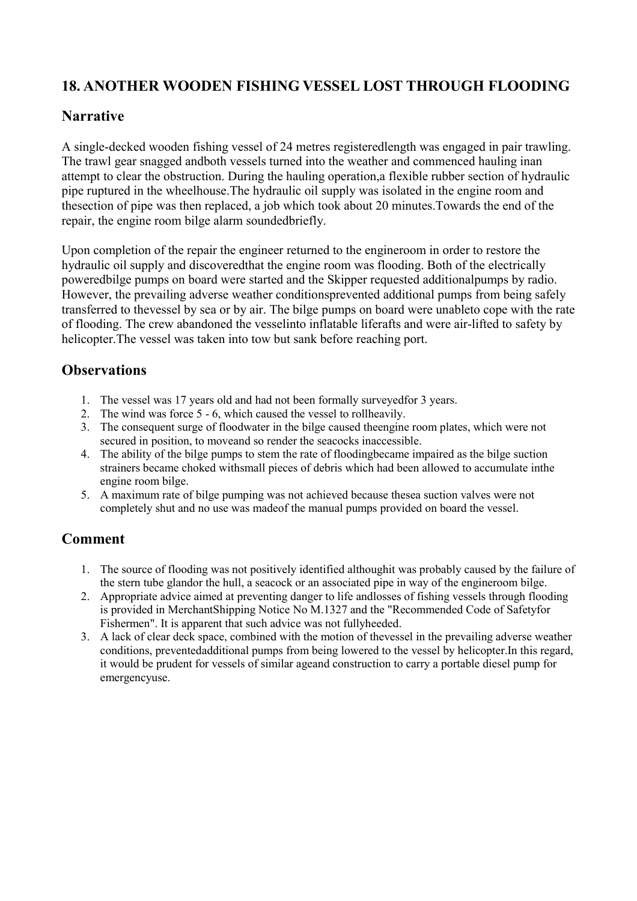# <span id="page-28-0"></span>**18. ANOTHER WOODEN FISHING VESSEL LOST THROUGH FLOODING**

#### **Narrative**

A single-decked wooden fishing vessel of 24 metres registeredlength was engaged in pair trawling. The trawl gear snagged andboth vessels turned into the weather and commenced hauling inan attempt to clear the obstruction. During the hauling operation,a flexible rubber section of hydraulic pipe ruptured in the wheelhouse.The hydraulic oil supply was isolated in the engine room and thesection of pipe was then replaced, a job which took about 20 minutes.Towards the end of the repair, the engine room bilge alarm soundedbriefly.

Upon completion of the repair the engineer returned to the engineroom in order to restore the hydraulic oil supply and discoveredthat the engine room was flooding. Both of the electrically poweredbilge pumps on board were started and the Skipper requested additionalpumps by radio. However, the prevailing adverse weather conditionsprevented additional pumps from being safely transferred to thevessel by sea or by air. The bilge pumps on board were unableto cope with the rate of flooding. The crew abandoned the vesselinto inflatable liferafts and were air-lifted to safety by helicopter.The vessel was taken into tow but sank before reaching port.

# **Observations**

- 1. The vessel was 17 years old and had not been formally surveyedfor 3 years.
- 2. The wind was force 5 6, which caused the vessel to rollheavily.
- 3. The consequent surge of floodwater in the bilge caused theengine room plates, which were not secured in position, to moveand so render the seacocks inaccessible.
- 4. The ability of the bilge pumps to stem the rate of floodingbecame impaired as the bilge suction strainers became choked withsmall pieces of debris which had been allowed to accumulate inthe engine room bilge.
- 5. A maximum rate of bilge pumping was not achieved because thesea suction valves were not completely shut and no use was madeof the manual pumps provided on board the vessel.

- 1. The source of flooding was not positively identified althoughit was probably caused by the failure of the stern tube glandor the hull, a seacock or an associated pipe in way of the engineroom bilge.
- 2. Appropriate advice aimed at preventing danger to life andlosses of fishing vessels through flooding is provided in MerchantShipping Notice No M.1327 and the "Recommended Code of Safetyfor Fishermen". It is apparent that such advice was not fullyheeded.
- 3. A lack of clear deck space, combined with the motion of thevessel in the prevailing adverse weather conditions, preventedadditional pumps from being lowered to the vessel by helicopter.In this regard, it would be prudent for vessels of similar ageand construction to carry a portable diesel pump for emergencyuse.